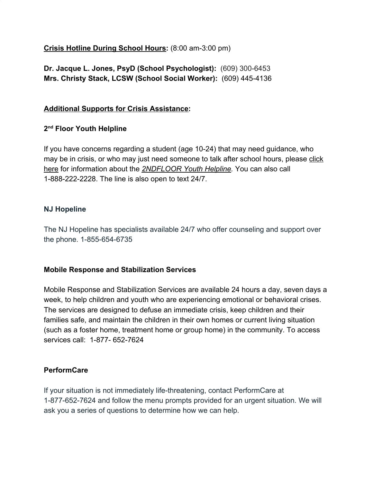**Crisis Hotline During School Hours:** (8:00 am-3:00 pm)

**Dr. Jacque L. Jones, PsyD (School Psychologist):** (609) 300-6453 **Mrs. Christy Stack, LCSW (School Social Worker):** (609) 445-4136

# **Additional Supports for Crisis Assistance:**

# **2 nd Floor Youth Helpline**

If you have concerns regarding a student (age 10-24) that may need guidance, who may be in crisis, or who may just need someone to talk after school hours, please [click](http://www.2ndfloor.org/) [here](http://www.2ndfloor.org/) for information about the *[2NDFLOOR Youth Helpline.](http://www.2ndfloor.org/)* You can also call 1-888-222-2228. The line is also open to text 24/7.

### **NJ Hopeline**

The NJ Hopeline has specialists available 24/7 who offer counseling and support over the phone. 1-855-654-6735

### **Mobile Response and Stabilization Services**

Mobile Response and Stabilization Services are available 24 hours a day, seven days a week, to help children and youth who are experiencing emotional or behavioral crises. The services are designed to defuse an immediate crisis, keep children and their families safe, and maintain the children in their own homes or current living situation (such as a foster home, treatment home or group home) in the community. To access services call: 1-877- 652-7624

### **PerformCare**

If your situation is not immediately life-threatening, contact PerformCare at 1-877-652-7624 and follow the menu prompts provided for an urgent situation. We will ask you a series of questions to determine how we can help.